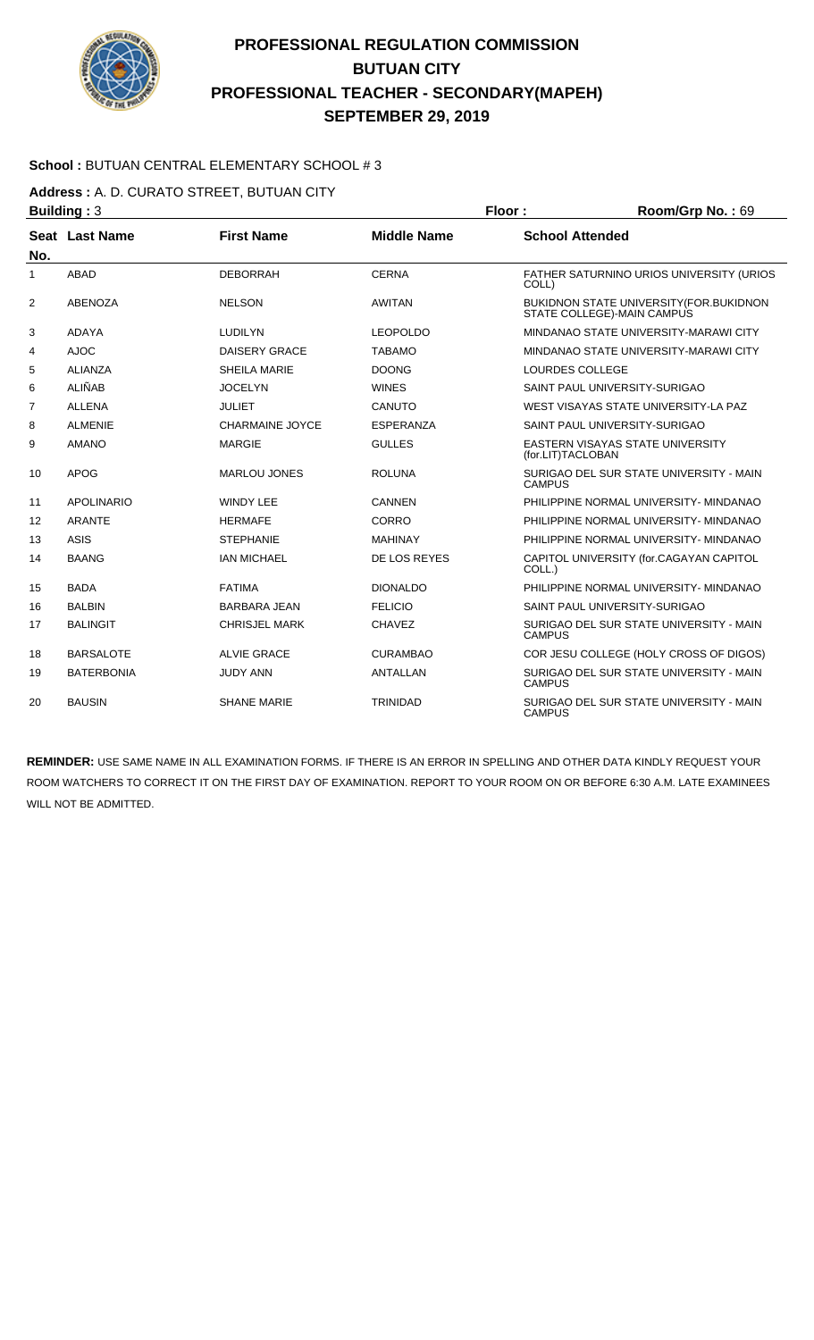

### **School :** BUTUAN CENTRAL ELEMENTARY SCHOOL # 3

**Address :** A. D. CURATO STREET, BUTUAN CITY

| <b>Building: 3</b> |                   |                        | Floor:             | Room/Grp No.: 69                                                       |  |
|--------------------|-------------------|------------------------|--------------------|------------------------------------------------------------------------|--|
| No.                | Seat Last Name    | <b>First Name</b>      | <b>Middle Name</b> | <b>School Attended</b>                                                 |  |
| 1                  | ABAD              | <b>DEBORRAH</b>        | <b>CERNA</b>       | FATHER SATURNINO URIOS UNIVERSITY (URIOS<br>COLL)                      |  |
| 2                  | <b>ABENOZA</b>    | <b>NELSON</b>          | <b>AWITAN</b>      | BUKIDNON STATE UNIVERSITY (FOR. BUKIDNON<br>STATE COLLEGE)-MAIN CAMPUS |  |
| 3                  | <b>ADAYA</b>      | <b>LUDILYN</b>         | <b>LEOPOLDO</b>    | MINDANAO STATE UNIVERSITY-MARAWI CITY                                  |  |
| 4                  | <b>AJOC</b>       | <b>DAISERY GRACE</b>   | <b>TABAMO</b>      | MINDANAO STATE UNIVERSITY-MARAWI CITY                                  |  |
| 5                  | <b>ALIANZA</b>    | <b>SHEILA MARIE</b>    | <b>DOONG</b>       | LOURDES COLLEGE                                                        |  |
| 6                  | <b>ALIÑAB</b>     | <b>JOCELYN</b>         | <b>WINES</b>       | SAINT PAUL UNIVERSITY-SURIGAO                                          |  |
| 7                  | <b>ALLENA</b>     | JULIET                 | CANUTO             | WEST VISAYAS STATE UNIVERSITY-LA PAZ                                   |  |
| 8                  | <b>ALMENIE</b>    | <b>CHARMAINE JOYCE</b> | ESPERANZA          | SAINT PAUL UNIVERSITY-SURIGAO                                          |  |
| 9                  | <b>AMANO</b>      | <b>MARGIE</b>          | <b>GULLES</b>      | <b>EASTERN VISAYAS STATE UNIVERSITY</b><br>(for.LIT)TACLOBAN           |  |
| 10                 | <b>APOG</b>       | <b>MARLOU JONES</b>    | <b>ROLUNA</b>      | SURIGAO DEL SUR STATE UNIVERSITY - MAIN<br><b>CAMPUS</b>               |  |
| 11                 | <b>APOLINARIO</b> | <b>WINDY LEE</b>       | <b>CANNEN</b>      | PHILIPPINE NORMAL UNIVERSITY- MINDANAO                                 |  |
| 12                 | <b>ARANTE</b>     | <b>HERMAFE</b>         | <b>CORRO</b>       | PHILIPPINE NORMAL UNIVERSITY- MINDANAO                                 |  |
| 13                 | <b>ASIS</b>       | <b>STEPHANIE</b>       | <b>MAHINAY</b>     | PHILIPPINE NORMAL UNIVERSITY- MINDANAO                                 |  |
| 14                 | <b>BAANG</b>      | <b>IAN MICHAEL</b>     | DE LOS REYES       | CAPITOL UNIVERSITY (for.CAGAYAN CAPITOL<br>COLL.)                      |  |
| 15                 | <b>BADA</b>       | <b>FATIMA</b>          | <b>DIONALDO</b>    | PHILIPPINE NORMAL UNIVERSITY- MINDANAO                                 |  |
| 16                 | <b>BALBIN</b>     | <b>BARBARA JEAN</b>    | <b>FELICIO</b>     | SAINT PAUL UNIVERSITY-SURIGAO                                          |  |
| 17                 | <b>BALINGIT</b>   | <b>CHRISJEL MARK</b>   | <b>CHAVEZ</b>      | SURIGAO DEL SUR STATE UNIVERSITY - MAIN<br><b>CAMPUS</b>               |  |
| 18                 | <b>BARSALOTE</b>  | <b>ALVIE GRACE</b>     | <b>CURAMBAO</b>    | COR JESU COLLEGE (HOLY CROSS OF DIGOS)                                 |  |
| 19                 | <b>BATERBONIA</b> | <b>JUDY ANN</b>        | <b>ANTALLAN</b>    | SURIGAO DEL SUR STATE UNIVERSITY - MAIN<br><b>CAMPUS</b>               |  |
| 20                 | <b>BAUSIN</b>     | <b>SHANE MARIE</b>     | <b>TRINIDAD</b>    | SURIGAO DEL SUR STATE UNIVERSITY - MAIN<br><b>CAMPUS</b>               |  |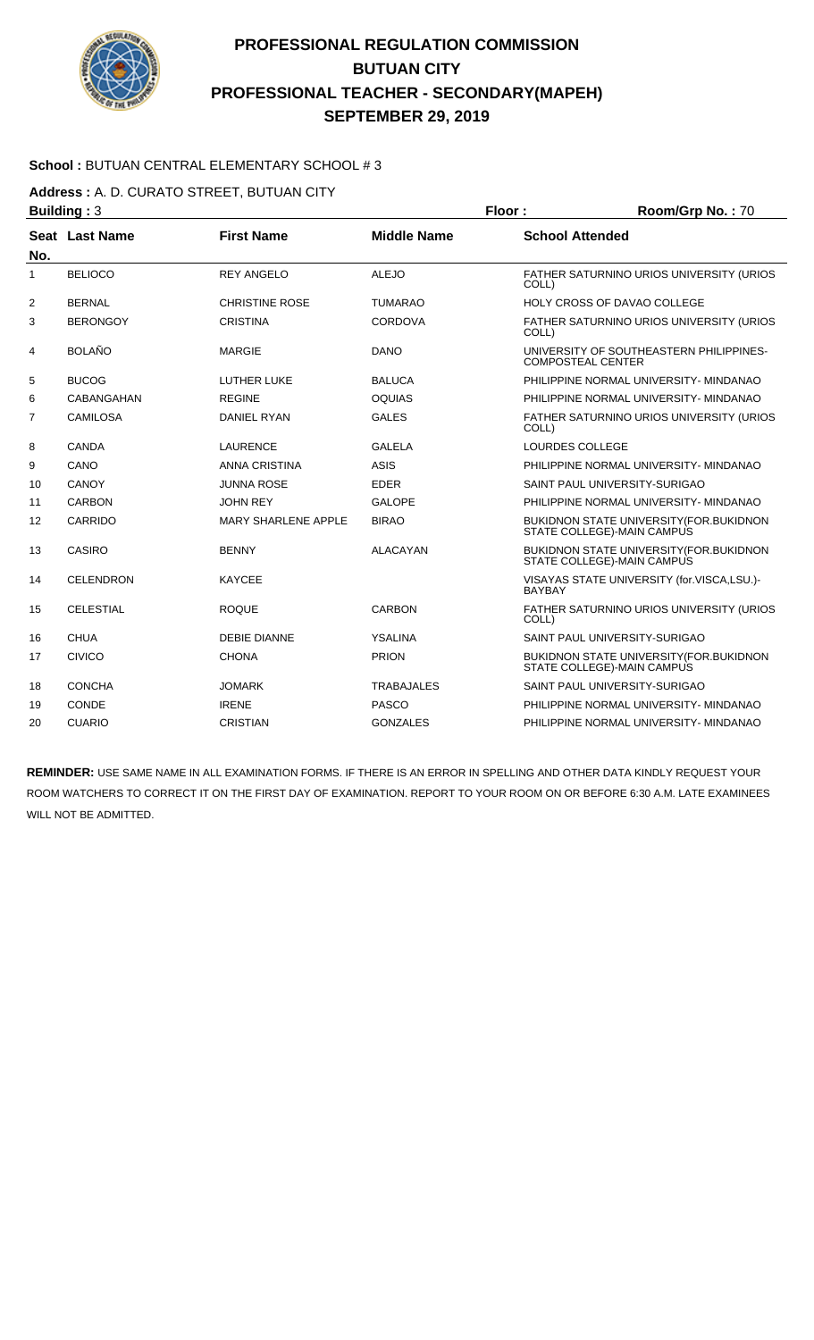

### **School :** BUTUAN CENTRAL ELEMENTARY SCHOOL # 3

**Address :** A. D. CURATO STREET, BUTUAN CITY

| <b>Building: 3</b> |                  |                            |                    | Floor:                   | Room/Grp No.: 70                                                               |  |
|--------------------|------------------|----------------------------|--------------------|--------------------------|--------------------------------------------------------------------------------|--|
| No.                | Seat Last Name   | <b>First Name</b>          | <b>Middle Name</b> | <b>School Attended</b>   |                                                                                |  |
| $\mathbf{1}$       | <b>BELIOCO</b>   | <b>REY ANGELO</b>          | <b>ALEJO</b>       | COLL)                    | FATHER SATURNINO URIOS UNIVERSITY (URIOS                                       |  |
| 2                  | <b>BERNAL</b>    | <b>CHRISTINE ROSE</b>      | <b>TUMARAO</b>     |                          | <b>HOLY CROSS OF DAVAO COLLEGE</b>                                             |  |
| 3                  | <b>BERONGOY</b>  | <b>CRISTINA</b>            | <b>CORDOVA</b>     | COLL)                    | FATHER SATURNINO URIOS UNIVERSITY (URIOS                                       |  |
| 4                  | <b>BOLAÑO</b>    | <b>MARGIE</b>              | <b>DANO</b>        | <b>COMPOSTEAL CENTER</b> | UNIVERSITY OF SOUTHEASTERN PHILIPPINES-                                        |  |
| 5                  | <b>BUCOG</b>     | <b>LUTHER LUKE</b>         | <b>BALUCA</b>      |                          | PHILIPPINE NORMAL UNIVERSITY- MINDANAO                                         |  |
| 6                  | CABANGAHAN       | <b>REGINE</b>              | <b>OQUIAS</b>      |                          | PHILIPPINE NORMAL UNIVERSITY- MINDANAO                                         |  |
| 7                  | CAMILOSA         | <b>DANIEL RYAN</b>         | <b>GALES</b>       | COLL)                    | FATHER SATURNINO URIOS UNIVERSITY (URIOS                                       |  |
| 8                  | <b>CANDA</b>     | <b>LAURENCE</b>            | <b>GALELA</b>      | LOURDES COLLEGE          |                                                                                |  |
| 9                  | CANO             | <b>ANNA CRISTINA</b>       | <b>ASIS</b>        |                          | PHILIPPINE NORMAL UNIVERSITY- MINDANAO                                         |  |
| 10                 | CANOY            | <b>JUNNA ROSE</b>          | <b>EDER</b>        |                          | SAINT PAUL UNIVERSITY-SURIGAO                                                  |  |
| 11                 | CARBON           | <b>JOHN REY</b>            | <b>GALOPE</b>      |                          | PHILIPPINE NORMAL UNIVERSITY- MINDANAO                                         |  |
| 12                 | CARRIDO          | <b>MARY SHARLENE APPLE</b> | <b>BIRAO</b>       |                          | <b>BUKIDNON STATE UNIVERSITY (FOR.BUKIDNON</b><br>STATE COLLEGE)-MAIN CAMPUS   |  |
| 13                 | CASIRO           | <b>BENNY</b>               | <b>ALACAYAN</b>    |                          | <b>BUKIDNON STATE UNIVERSITY (FOR. BUKIDNON)</b><br>STATE COLLEGE)-MAIN CAMPUS |  |
| 14                 | <b>CELENDRON</b> | <b>KAYCEE</b>              |                    | <b>BAYBAY</b>            | VISAYAS STATE UNIVERSITY (for.VISCA,LSU.)-                                     |  |
| 15                 | <b>CELESTIAL</b> | <b>ROQUE</b>               | CARBON             | COLL)                    | FATHER SATURNINO URIOS UNIVERSITY (URIOS                                       |  |
| 16                 | <b>CHUA</b>      | <b>DEBIE DIANNE</b>        | <b>YSALINA</b>     |                          | SAINT PAUL UNIVERSITY-SURIGAO                                                  |  |
| 17                 | <b>CIVICO</b>    | <b>CHONA</b>               | <b>PRION</b>       |                          | <b>BUKIDNON STATE UNIVERSITY (FOR.BUKIDNON</b><br>STATE COLLEGE)-MAIN CAMPUS   |  |
| 18                 | <b>CONCHA</b>    | <b>JOMARK</b>              | <b>TRABAJALES</b>  |                          | SAINT PAUL UNIVERSITY-SURIGAO                                                  |  |
| 19                 | CONDE            | <b>IRENE</b>               | <b>PASCO</b>       |                          | PHILIPPINE NORMAL UNIVERSITY- MINDANAO                                         |  |
| 20                 | <b>CUARIO</b>    | <b>CRISTIAN</b>            | <b>GONZALES</b>    |                          | PHILIPPINE NORMAL UNIVERSITY- MINDANAO                                         |  |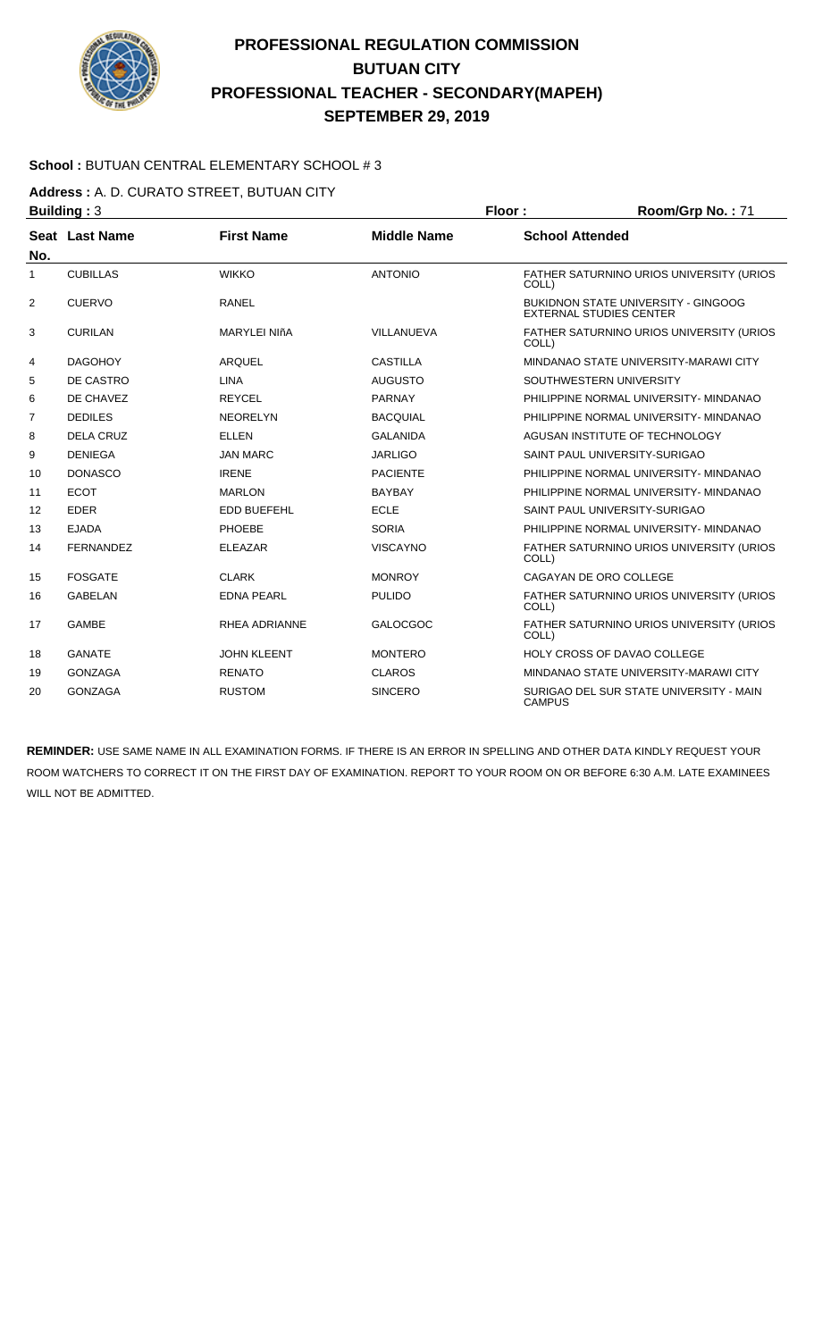

### **School :** BUTUAN CENTRAL ELEMENTARY SCHOOL # 3

**Address :** A. D. CURATO STREET, BUTUAN CITY

| <b>Building: 3</b> |                  |                      |                    | Floor:        | Room/Grp No.: 71                                                      |  |
|--------------------|------------------|----------------------|--------------------|---------------|-----------------------------------------------------------------------|--|
| No.                | Seat Last Name   | <b>First Name</b>    | <b>Middle Name</b> |               | <b>School Attended</b>                                                |  |
| 1                  | <b>CUBILLAS</b>  | <b>WIKKO</b>         | <b>ANTONIO</b>     | COLL)         | FATHER SATURNINO URIOS UNIVERSITY (URIOS                              |  |
| 2                  | <b>CUERVO</b>    | <b>RANEL</b>         |                    |               | BUKIDNON STATE UNIVERSITY - GINGOOG<br><b>EXTERNAL STUDIES CENTER</b> |  |
| 3                  | <b>CURILAN</b>   | <b>MARYLEI NIñA</b>  | VILLANUEVA         | COLL)         | <b>FATHER SATURNINO URIOS UNIVERSITY (URIOS)</b>                      |  |
| 4                  | <b>DAGOHOY</b>   | <b>ARQUEL</b>        | <b>CASTILLA</b>    |               | MINDANAO STATE UNIVERSITY-MARAWI CITY                                 |  |
| 5                  | DE CASTRO        | <b>LINA</b>          | <b>AUGUSTO</b>     |               | SOUTHWESTERN UNIVERSITY                                               |  |
| 6                  | DE CHAVEZ        | <b>REYCEL</b>        | <b>PARNAY</b>      |               | PHILIPPINE NORMAL UNIVERSITY- MINDANAO                                |  |
| 7                  | <b>DEDILES</b>   | <b>NEORELYN</b>      | <b>BACQUIAL</b>    |               | PHILIPPINE NORMAL UNIVERSITY- MINDANAO                                |  |
| 8                  | <b>DELA CRUZ</b> | <b>ELLEN</b>         | <b>GALANIDA</b>    |               | AGUSAN INSTITUTE OF TECHNOLOGY                                        |  |
| 9                  | <b>DENIEGA</b>   | <b>JAN MARC</b>      | <b>JARLIGO</b>     |               | SAINT PAUL UNIVERSITY-SURIGAO                                         |  |
| 10                 | <b>DONASCO</b>   | <b>IRENE</b>         | <b>PACIENTE</b>    |               | PHILIPPINE NORMAL UNIVERSITY- MINDANAO                                |  |
| 11                 | <b>ECOT</b>      | <b>MARLON</b>        | <b>BAYBAY</b>      |               | PHILIPPINE NORMAL UNIVERSITY- MINDANAO                                |  |
| 12                 | <b>EDER</b>      | <b>EDD BUEFEHL</b>   | <b>ECLE</b>        |               | SAINT PAUL UNIVERSITY-SURIGAO                                         |  |
| 13                 | <b>EJADA</b>     | <b>PHOEBE</b>        | <b>SORIA</b>       |               | PHILIPPINE NORMAL UNIVERSITY- MINDANAO                                |  |
| 14                 | <b>FERNANDEZ</b> | <b>ELEAZAR</b>       | <b>VISCAYNO</b>    | COLL)         | FATHER SATURNINO URIOS UNIVERSITY (URIOS                              |  |
| 15                 | <b>FOSGATE</b>   | <b>CLARK</b>         | <b>MONROY</b>      |               | CAGAYAN DE ORO COLLEGE                                                |  |
| 16                 | <b>GABELAN</b>   | <b>EDNA PEARL</b>    | <b>PULIDO</b>      | COLL)         | FATHER SATURNINO URIOS UNIVERSITY (URIOS                              |  |
| 17                 | <b>GAMBE</b>     | <b>RHEA ADRIANNE</b> | <b>GALOCGOC</b>    | COLL)         | FATHER SATURNINO URIOS UNIVERSITY (URIOS                              |  |
| 18                 | <b>GANATE</b>    | <b>JOHN KLEENT</b>   | <b>MONTERO</b>     |               | HOLY CROSS OF DAVAO COLLEGE                                           |  |
| 19                 | <b>GONZAGA</b>   | <b>RENATO</b>        | <b>CLAROS</b>      |               | MINDANAO STATE UNIVERSITY-MARAWI CITY                                 |  |
| 20                 | <b>GONZAGA</b>   | <b>RUSTOM</b>        | <b>SINCERO</b>     | <b>CAMPUS</b> | SURIGAO DEL SUR STATE UNIVERSITY - MAIN                               |  |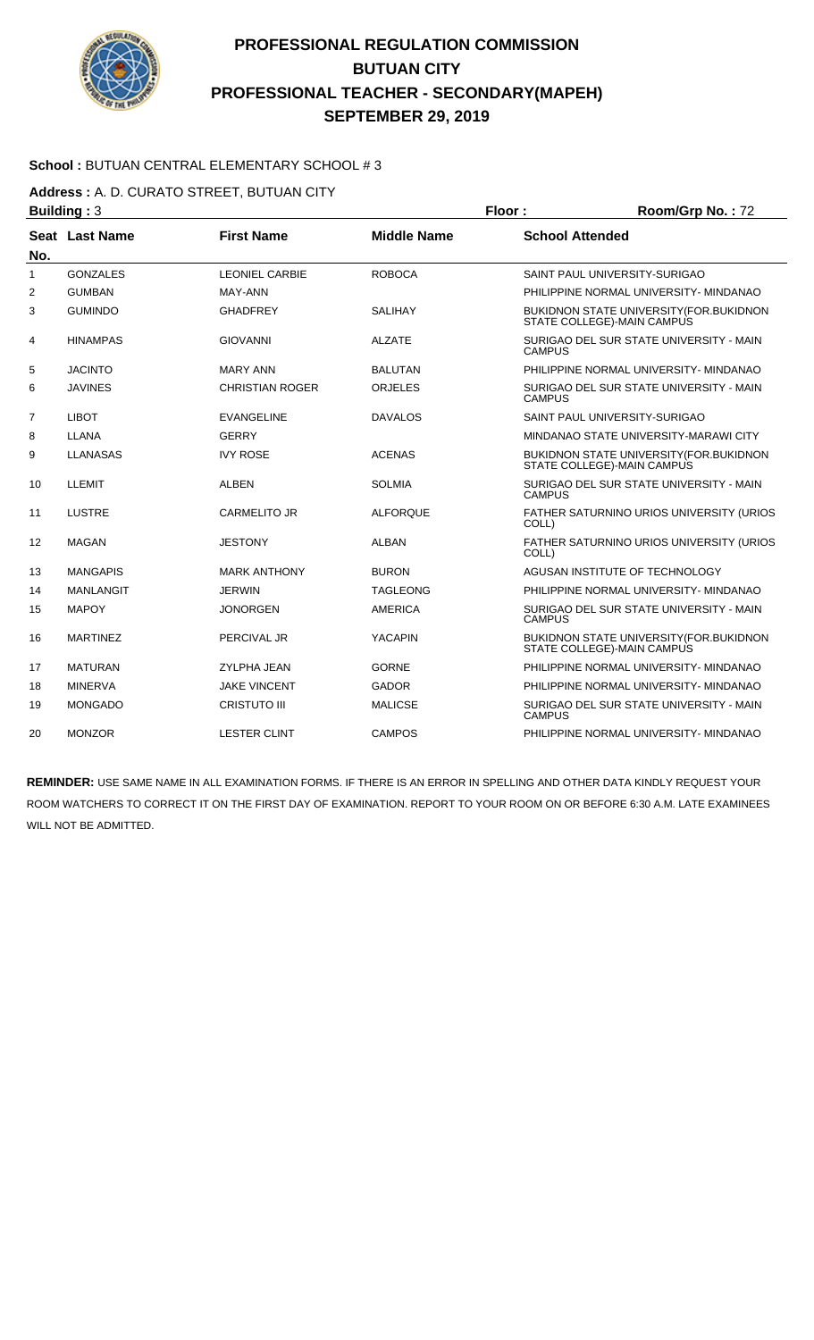

### **School :** BUTUAN CENTRAL ELEMENTARY SCHOOL # 3

**Address :** A. D. CURATO STREET, BUTUAN CITY

| <b>Building: 3</b><br><b>First Name</b><br>Seat Last Name<br>No. |                  |                        | Floor:             | Room/Grp No.: 72                                                               |                                                                              |  |
|------------------------------------------------------------------|------------------|------------------------|--------------------|--------------------------------------------------------------------------------|------------------------------------------------------------------------------|--|
|                                                                  |                  |                        | <b>Middle Name</b> | <b>School Attended</b>                                                         |                                                                              |  |
| 1                                                                | <b>GONZALES</b>  | <b>LEONIEL CARBIE</b>  | <b>ROBOCA</b>      |                                                                                | SAINT PAUL UNIVERSITY-SURIGAO                                                |  |
| $\overline{2}$                                                   | <b>GUMBAN</b>    | MAY-ANN                |                    |                                                                                | PHILIPPINE NORMAL UNIVERSITY- MINDANAO                                       |  |
| 3                                                                | <b>GUMINDO</b>   | <b>GHADFREY</b>        | <b>SALIHAY</b>     |                                                                                | <b>BUKIDNON STATE UNIVERSITY (FOR.BUKIDNON</b><br>STATE COLLEGE)-MAIN CAMPUS |  |
| 4                                                                | <b>HINAMPAS</b>  | <b>GIOVANNI</b>        | <b>ALZATE</b>      | <b>CAMPUS</b>                                                                  | SURIGAO DEL SUR STATE UNIVERSITY - MAIN                                      |  |
| 5                                                                | <b>JACINTO</b>   | <b>MARY ANN</b>        | <b>BALUTAN</b>     |                                                                                | PHILIPPINE NORMAL UNIVERSITY- MINDANAO                                       |  |
| 6                                                                | <b>JAVINES</b>   | <b>CHRISTIAN ROGER</b> | <b>ORJELES</b>     | <b>CAMPUS</b>                                                                  | SURIGAO DEL SUR STATE UNIVERSITY - MAIN                                      |  |
| 7                                                                | <b>LIBOT</b>     | <b>EVANGELINE</b>      | <b>DAVALOS</b>     |                                                                                | SAINT PAUL UNIVERSITY-SURIGAO                                                |  |
| 8                                                                | LLANA            | <b>GERRY</b>           |                    |                                                                                | MINDANAO STATE UNIVERSITY-MARAWI CITY                                        |  |
| 9                                                                | <b>LLANASAS</b>  | <b>IVY ROSE</b>        | <b>ACENAS</b>      | <b>BUKIDNON STATE UNIVERSITY (FOR.BUKIDNON</b><br>STATE COLLEGE)-MAIN CAMPUS   |                                                                              |  |
| 10                                                               | LLEMIT           | <b>ALBEN</b>           | <b>SOLMIA</b>      | SURIGAO DEL SUR STATE UNIVERSITY - MAIN<br><b>CAMPUS</b>                       |                                                                              |  |
| 11                                                               | LUSTRE           | <b>CARMELITO JR</b>    | <b>ALFORQUE</b>    | FATHER SATURNINO URIOS UNIVERSITY (URIOS<br>COLL)                              |                                                                              |  |
| 12                                                               | <b>MAGAN</b>     | <b>JESTONY</b>         | <b>ALBAN</b>       | FATHER SATURNINO URIOS UNIVERSITY (URIOS<br>COLL)                              |                                                                              |  |
| 13                                                               | <b>MANGAPIS</b>  | <b>MARK ANTHONY</b>    | <b>BURON</b>       |                                                                                | AGUSAN INSTITUTE OF TECHNOLOGY                                               |  |
| 14                                                               | <b>MANLANGIT</b> | <b>JERWIN</b>          | <b>TAGLEONG</b>    | PHILIPPINE NORMAL UNIVERSITY- MINDANAO                                         |                                                                              |  |
| 15                                                               | <b>MAPOY</b>     | <b>JONORGEN</b>        | <b>AMERICA</b>     | SURIGAO DEL SUR STATE UNIVERSITY - MAIN<br><b>CAMPUS</b>                       |                                                                              |  |
| 16                                                               | <b>MARTINEZ</b>  | PERCIVAL JR            | <b>YACAPIN</b>     | <b>BUKIDNON STATE UNIVERSITY (FOR. BUKIDNON)</b><br>STATE COLLEGE)-MAIN CAMPUS |                                                                              |  |
| 17                                                               | <b>MATURAN</b>   | <b>ZYLPHA JEAN</b>     | <b>GORNE</b>       |                                                                                | PHILIPPINE NORMAL UNIVERSITY- MINDANAO                                       |  |
| 18                                                               | <b>MINERVA</b>   | <b>JAKE VINCENT</b>    | <b>GADOR</b>       |                                                                                | PHILIPPINE NORMAL UNIVERSITY- MINDANAO                                       |  |
| 19                                                               | <b>MONGADO</b>   | <b>CRISTUTO III</b>    | <b>MALICSE</b>     | <b>CAMPUS</b>                                                                  | SURIGAO DEL SUR STATE UNIVERSITY - MAIN                                      |  |
| 20                                                               | <b>MONZOR</b>    | <b>LESTER CLINT</b>    | <b>CAMPOS</b>      |                                                                                | PHILIPPINE NORMAL UNIVERSITY- MINDANAO                                       |  |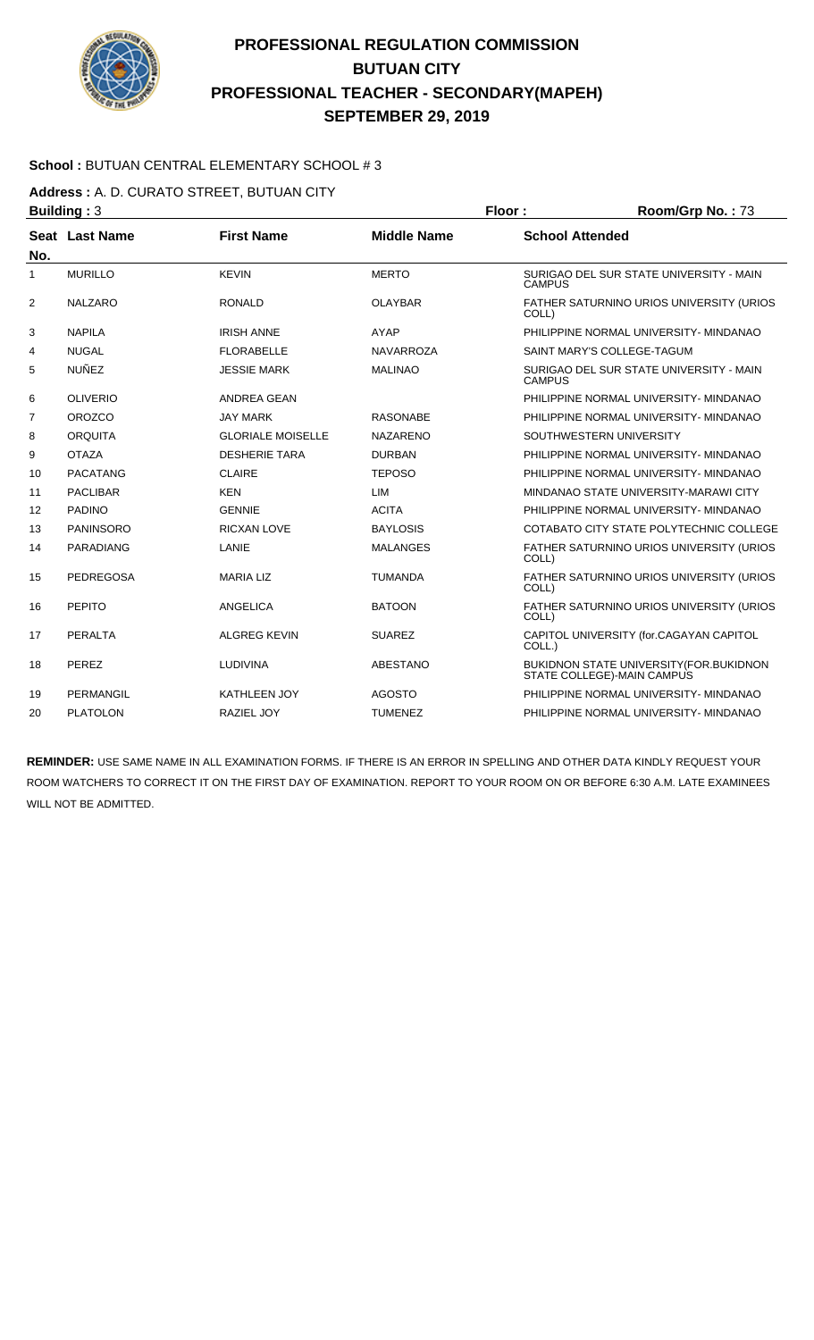

#### **School :** BUTUAN CENTRAL ELEMENTARY SCHOOL # 3

#### **Address :** A. D. CURATO STREET, BUTUAN CITY

| <b>Building: 3</b> |                  |                          | Floor:             | Room/Grp No.: 73                                                       |  |
|--------------------|------------------|--------------------------|--------------------|------------------------------------------------------------------------|--|
| No.                | Seat Last Name   | <b>First Name</b>        | <b>Middle Name</b> | <b>School Attended</b>                                                 |  |
| 1                  | <b>MURILLO</b>   | <b>KEVIN</b>             | <b>MERTO</b>       | SURIGAO DEL SUR STATE UNIVERSITY - MAIN<br><b>CAMPUS</b>               |  |
| 2                  | <b>NALZARO</b>   | <b>RONALD</b>            | <b>OLAYBAR</b>     | FATHER SATURNINO URIOS UNIVERSITY (URIOS<br>COLL)                      |  |
| 3                  | <b>NAPILA</b>    | <b>IRISH ANNE</b>        | <b>AYAP</b>        | PHILIPPINE NORMAL UNIVERSITY- MINDANAO                                 |  |
| 4                  | <b>NUGAL</b>     | <b>FLORABELLE</b>        | <b>NAVARROZA</b>   | <b>SAINT MARY'S COLLEGE-TAGUM</b>                                      |  |
| 5                  | <b>NUÑEZ</b>     | <b>JESSIE MARK</b>       | <b>MALINAO</b>     | SURIGAO DEL SUR STATE UNIVERSITY - MAIN<br><b>CAMPUS</b>               |  |
| 6                  | <b>OLIVERIO</b>  | <b>ANDREA GEAN</b>       |                    | PHILIPPINE NORMAL UNIVERSITY- MINDANAO                                 |  |
| $\overline{7}$     | <b>OROZCO</b>    | <b>JAY MARK</b>          | <b>RASONABE</b>    | PHILIPPINE NORMAL UNIVERSITY- MINDANAO                                 |  |
| 8                  | <b>ORQUITA</b>   | <b>GLORIALE MOISELLE</b> | <b>NAZARENO</b>    | SOUTHWESTERN UNIVERSITY                                                |  |
| 9                  | <b>OTAZA</b>     | <b>DESHERIE TARA</b>     | <b>DURBAN</b>      | PHILIPPINE NORMAL UNIVERSITY- MINDANAO                                 |  |
| 10                 | <b>PACATANG</b>  | <b>CLAIRE</b>            | <b>TEPOSO</b>      | PHILIPPINE NORMAL UNIVERSITY- MINDANAO                                 |  |
| 11                 | <b>PACLIBAR</b>  | <b>KEN</b>               | <b>LIM</b>         | MINDANAO STATE UNIVERSITY-MARAWI CITY                                  |  |
| $12 \overline{ }$  | <b>PADINO</b>    | <b>GENNIE</b>            | <b>ACITA</b>       | PHILIPPINE NORMAL UNIVERSITY- MINDANAO                                 |  |
| 13                 | <b>PANINSORO</b> | <b>RICXAN LOVE</b>       | <b>BAYLOSIS</b>    | COTABATO CITY STATE POLYTECHNIC COLLEGE                                |  |
| 14                 | PARADIANG        | LANIE                    | <b>MALANGES</b>    | FATHER SATURNINO URIOS UNIVERSITY (URIOS<br>COLL)                      |  |
| 15                 | <b>PEDREGOSA</b> | <b>MARIA LIZ</b>         | <b>TUMANDA</b>     | FATHER SATURNINO URIOS UNIVERSITY (URIOS<br>COLL)                      |  |
| 16                 | PEPITO           | ANGELICA                 | <b>BATOON</b>      | FATHER SATURNINO URIOS UNIVERSITY (URIOS<br>COLL)                      |  |
| 17                 | PERALTA          | <b>ALGREG KEVIN</b>      | <b>SUAREZ</b>      | CAPITOL UNIVERSITY (for.CAGAYAN CAPITOL<br>COLL.)                      |  |
| 18                 | PEREZ            | <b>LUDIVINA</b>          | <b>ABESTANO</b>    | BUKIDNON STATE UNIVERSITY (FOR. BUKIDNON<br>STATE COLLEGE)-MAIN CAMPUS |  |
| 19                 | PERMANGIL        | <b>KATHLEEN JOY</b>      | <b>AGOSTO</b>      | PHILIPPINE NORMAL UNIVERSITY- MINDANAO                                 |  |
| 20                 | <b>PLATOLON</b>  | <b>RAZIEL JOY</b>        | <b>TUMENEZ</b>     | PHILIPPINE NORMAL UNIVERSITY- MINDANAO                                 |  |